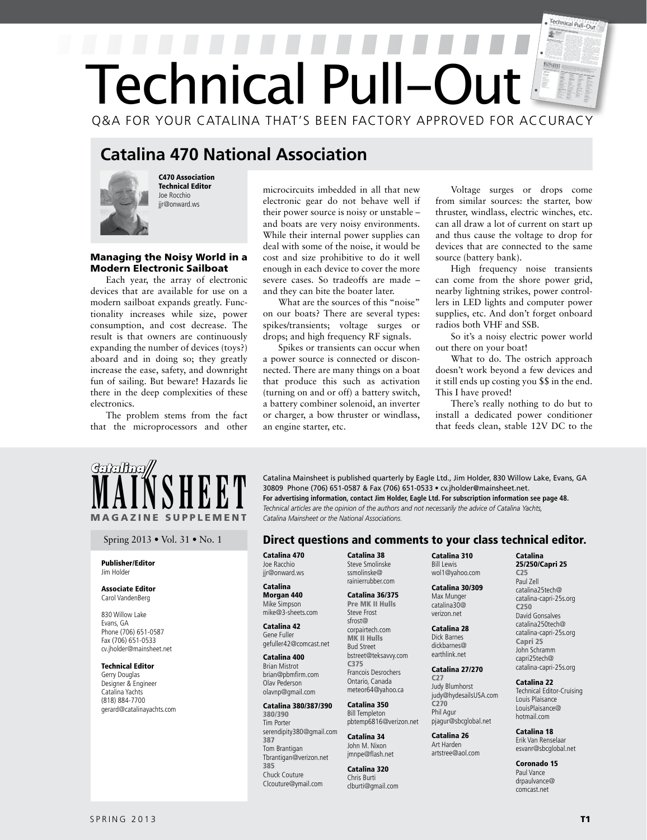# Technical Pull-Out  $\mathbb{F}$ Technical Pull-Out Q&A FOR YOUR CATALINA THAT'S BEEN FACTORY APPROVED FOR ACCURACY

## **Catalina 470 National Association**



C470 Association Technical Editor Joe Rocchio jjr@onward.ws

#### Managing the Noisy World in a Modern Electronic Sailboat

Each year, the array of electronic devices that are available for use on a modern sailboat expands greatly. Functionality increases while size, power consumption, and cost decrease. The result is that owners are continuously expanding the number of devices (toys?) aboard and in doing so; they greatly increase the ease, safety, and downright fun of sailing. But beware! Hazards lie there in the deep complexities of these electronics.

The problem stems from the fact that the microprocessors and other

microcircuits imbedded in all that new electronic gear do not behave well if their power source is noisy or unstable – and boats are very noisy environments. While their internal power supplies can deal with some of the noise, it would be cost and size prohibitive to do it well enough in each device to cover the more severe cases. So tradeoffs are made – and they can bite the boater later.

What are the sources of this "noise" on our boats? There are several types: spikes/transients; voltage surges or drops; and high frequency RF signals.

Spikes or transients can occur when a power source is connected or disconnected. There are many things on a boat that produce this such as activation (turning on and or off) a battery switch, a battery combiner solenoid, an inverter or charger, a bow thruster or windlass, an engine starter, etc.

Voltage surges or drops come from similar sources: the starter, bow thruster, windlass, electric winches, etc. can all draw a lot of current on start up and thus cause the voltage to drop for devices that are connected to the same source (battery bank).

High frequency noise transients can come from the shore power grid, nearby lightning strikes, power controllers in LED lights and computer power supplies, etc. And don't forget onboard radios both VHF and SSB.

So it's a noisy electric power world out there on your boat!

What to do. The ostrich approach doesn't work beyond a few devices and it still ends up costing you \$\$ in the end. This I have proved!

There's really nothing to do but to install a dedicated power conditioner that feeds clean, stable 12V DC to the



#### Publisher/Editor Jim Holder

#### Associate Editor Carol VandenBerg

830 Willow Lake Evans, GA Phone (706) 651-0587 Fax (706) 651-0533 cv.jholder@mainsheet.net

#### Technical Editor

Gerry Douglas Designer & Engineer Catalina Yachts (818) 884-7700 gerard@catalinayachts.com

**MAINSHEET** Catalina Mainsheet is published quarterly by Eagle Ltd., Jim Holder, 830 Willow Lake, Evans, GA 30809 Phone (706) 651-0587 & Fax (706) 651-0533 • cv.jholder@mainsheet.net.<br>For advertising information, contact J 30809 Phone (706) 651-0587 & Fax (706) 651-0533 • cv.jholder@mainsheet.net. **For advertising information, contact Jim Holder, Eagle Ltd. For subscription information see page 48.** *Catalina Mainsheet or the National Associations.* 

### Spring 2013 • Vol. 31 • No. 1 **Direct questions and comments to your class technical editor.**

Catalina 470 Joe Racchio jir@onward.ws

#### Catalina Morgan 440 Mike Simpson

mike@3-sheets.com Catalina 42

Gene Fuller gefuller42@comcast.net

#### Catalina 400 Brian Mistrot brian@pbmfirm.com Olav Pederson olavnp@gmail.com

#### Catalina 380/387/390

380/390 Tim Porter serendipity380@gmail.com 387 Tom Brantigan Tbrantigan@verizon.net 385 Chuck Couture Clcouture@ymail.com

Catalina 38 Steve Smolinske ssmolinske@ rainierrubber.com

#### Catalina 36/375

Pre MK II Hulls Steve Frost sfrost@ corpairtech.com MK II Hulls Bud Street bstreet@teksavvy.com C375 Francois Desrochers Ontario, Canada meteor64@yahoo.ca

#### Catalina 350 Bill Templeton pbtemp6816@verizon.net

Catalina 34 John M. Nixon jmnpe@flash.net

Catalina 320 Chris Burti clburti@gmail.com Catalina 310 Bill Lewis wol1@yahoo.com

 Catalina 30/309 Max Munger catalina30@ verizon.net

#### Catalina 28 Dick Barnes dickbarnes@ earthlink.net

Catalina 27/270

#### C27 Judy Blumhorst judy@hydesailsUSA.com C270 Phil Agur pjagur@sbcglobal.net

Catalina 26 Art Harden artstree@aol.com

#### C250 David Gonsalves

Catalina 25/250/Capri 25 C25 Paul Zell catalina25tech@ catalina-capri-25s.org

catalina250tech@ catalina-capri-25s.org Capri 25 John Schramm capri25tech@ catalina-capri-25s.org

#### Catalina 22

Technical Editor-Cruising Louis Plaisance LouisPlaisance@ hotmail.com

Catalina 18 Erik Van Renselaar

### esvanr@sbcglobal.net

Coronado 15 Paul Vance drpaulvance@ comcast.net